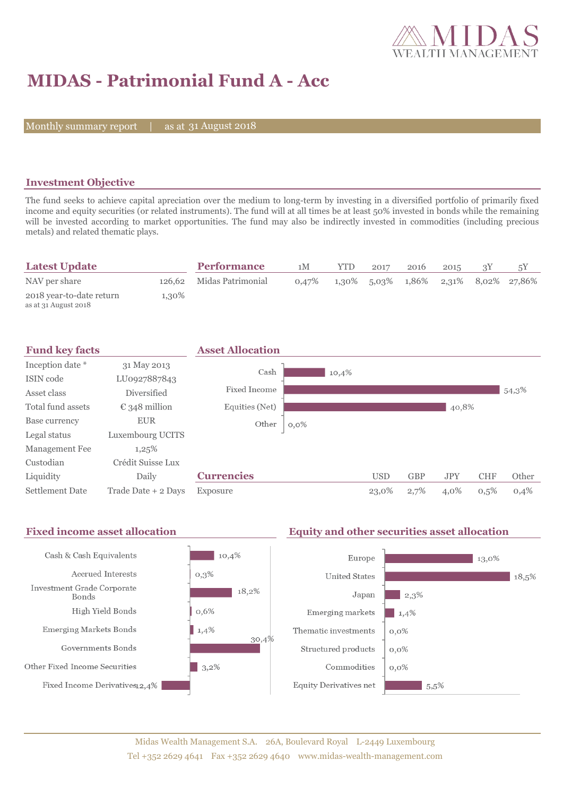

# **MIDAS - Patrimonial Fund A - Acc**

Monthly summary report | as at 31 August 2018

### **Investment Objective**

The fund seeks to achieve capital apreciation over the medium to long-term by investing in a diversified portfolio of primarily fixed income and equity securities (or related instruments). The fund will at all times be at least 50% invested in bonds while the remaining will be invested according to market opportunities. The fund may also be indirectly invested in commodities (including precious metals) and related thematic plays.

| <b>Latest Update</b>                             |       | <b>Performance</b>       | 1M    | <b>YTD</b> | 2017 | 2016 | 2015 |                                              |
|--------------------------------------------------|-------|--------------------------|-------|------------|------|------|------|----------------------------------------------|
| NAV per share                                    |       | 126,62 Midas Patrimonial | 0.47% |            |      |      |      | $1,30\%$ 5.03\% 1.86\% 2.31\% 8.02\% 27.86\% |
| 2018 year-to-date return<br>as at 31 August 2018 | 1,30% |                          |       |            |      |      |      |                                              |



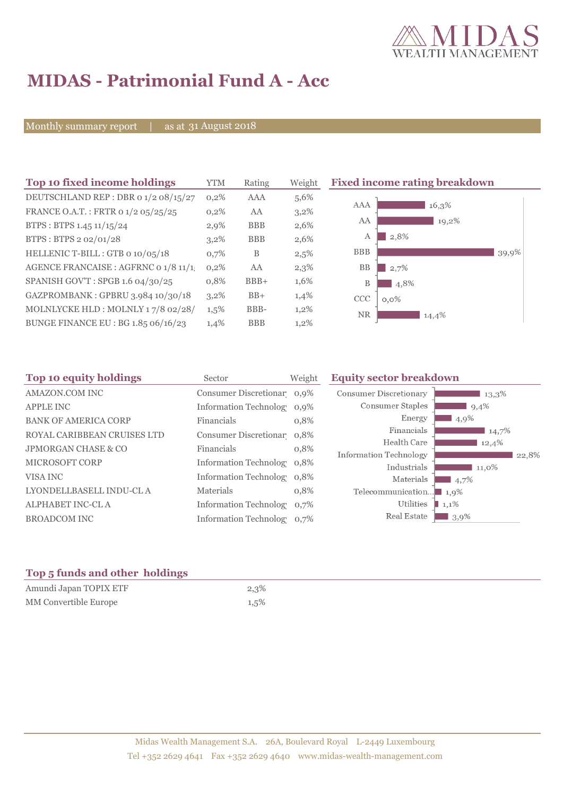

# **MIDAS - Patrimonial Fund A - Acc**

Monthly summary report | as at 31 August 2018

| Top 10 fixed income holdings          | <b>YTM</b> | Rating     | Weight  | <b>Fixed income rating breakdown</b> |
|---------------------------------------|------------|------------|---------|--------------------------------------|
| DEUTSCHLAND REP : DBR 0 1/2 08/15/27  | 0,2%       | AAA        | 5,6%    |                                      |
| FRANCE O.A.T.: FRTR 0 1/2 05/25/25    | $0,2\%$    | AA         | $3,2\%$ | 16,3%<br><b>AAA</b>                  |
| BTPS: BTPS 1.45 11/15/24              | 2,9%       | <b>BBB</b> | 2,6%    | AA<br>19,2%                          |
| BTPS: BTPS 2 02/01/28                 | $3,2\%$    | <b>BBB</b> | 2,6%    | А<br>2,8%                            |
| HELLENIC T-BILL: GTB 0 10/05/18       | $0.7\%$    | B          | $2,5\%$ | <b>BBB</b><br>39,9%                  |
| AGENCE FRANCAISE : AGFRNC 0 1/8 11/1. | 0,2%       | AA         | 2,3%    | <b>BB</b><br>2,7%                    |
| SPANISH GOV'T: SPGB 1.6 04/30/25      | 0,8%       | $BBB+$     | 1,6%    | B<br>4,8%                            |
| GAZPROMBANK: GPBRU 3.984 10/30/18     | $3,2\%$    | $BB+$      | 1,4%    | <b>CCC</b><br>$0,0\%$                |
| MOLNLYCKE HLD: MOLNLY 17/8 02/28/     | 1,5%       | BBB-       | $1,2\%$ | <b>NR</b><br>14,4%                   |
| BUNGE FINANCE EU : BG 1.85 06/16/23   | 1,4%       | <b>BBB</b> | $1,2\%$ |                                      |

| Top 10 equity holdings         | Sector                        | Weight  | <b>Equity sector breakdown</b>                 |       |
|--------------------------------|-------------------------------|---------|------------------------------------------------|-------|
| <b>AMAZON.COM INC</b>          | Consumer Discretionar 0,9%    |         | <b>Consumer Discretionary</b><br>13,3%         |       |
| <b>APPLE INC</b>               | <b>Information Technology</b> | $0.9\%$ | Consumer Staples<br>9,4%                       |       |
| <b>BANK OF AMERICA CORP</b>    | Financials                    | 0,8%    | Energy<br>4,9%                                 |       |
| ROYAL CARIBBEAN CRUISES LTD    | Consumer Discretionar 0,8%    |         | Financials<br>14,7%                            |       |
| <b>JPMORGAN CHASE &amp; CO</b> | Financials                    | 0,8%    | Health Care<br>12,4%                           |       |
| <b>MICROSOFT CORP</b>          | <b>Information Technology</b> | 0.8%    | Information Technology<br>Industrials<br>11,0% | 22.8% |
| VISA INC                       | <b>Information Technolog</b>  | 0,8%    | Materials<br>$\blacksquare$ 4,7%               |       |
| LYONDELLBASELL INDU-CL A       | Materials                     | 0,8%    | Telecommunication<br>1.9%                      |       |
| <b>ALPHABET INC-CL A</b>       | <b>Information Technology</b> | 0,7%    | Utilities<br>$1,1\%$                           |       |
| <b>BROADCOM INC</b>            | <b>Information Technology</b> | 0.7%    | Real Estate<br>$13,9\%$                        |       |

### **Top 5 funds and other holdings**

| Amundi Japan TOPIX ETF       | 2,3%    |
|------------------------------|---------|
| <b>MM Convertible Europe</b> | $1,5\%$ |